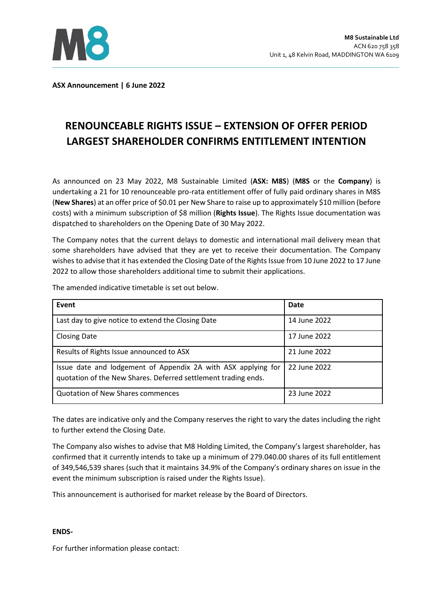

**ASX Announcement | 6 June 2022** 

## **RENOUNCEABLE RIGHTS ISSUE – EXTENSION OF OFFER PERIOD LARGEST SHAREHOLDER CONFIRMS ENTITLEMENT INTENTION**

As announced on 23 May 2022, M8 Sustainable Limited (**ASX: M8S**) (**M8S** or the **Company**) is undertaking a 21 for 10 renounceable pro-rata entitlement offer of fully paid ordinary shares in M8S (**New Shares**) at an offer price of \$0.01 per New Share to raise up to approximately \$10 million (before costs) with a minimum subscription of \$8 million (**Rights Issue**). The Rights Issue documentation was dispatched to shareholders on the Opening Date of 30 May 2022.

The Company notes that the current delays to domestic and international mail delivery mean that some shareholders have advised that they are yet to receive their documentation. The Company wishes to advise that it has extended the Closing Date of the Rights Issue from 10 June 2022 to 17 June 2022 to allow those shareholders additional time to submit their applications.

| Event                                                                                                                           | Date         |
|---------------------------------------------------------------------------------------------------------------------------------|--------------|
| Last day to give notice to extend the Closing Date                                                                              | 14 June 2022 |
| <b>Closing Date</b>                                                                                                             | 17 June 2022 |
| Results of Rights Issue announced to ASX                                                                                        | 21 June 2022 |
| Issue date and lodgement of Appendix 2A with ASX applying for<br>quotation of the New Shares. Deferred settlement trading ends. | 22 June 2022 |
| <b>Quotation of New Shares commences</b>                                                                                        | 23 June 2022 |

The amended indicative timetable is set out below.

The dates are indicative only and the Company reserves the right to vary the dates including the right to further extend the Closing Date.

The Company also wishes to advise that M8 Holding Limited, the Company's largest shareholder, has confirmed that it currently intends to take up a minimum of 279.040.00 shares of its full entitlement of 349,546,539 shares (such that it maintains 34.9% of the Company's ordinary shares on issue in the event the minimum subscription is raised under the Rights Issue).

This announcement is authorised for market release by the Board of Directors.

## **ENDS-**

For further information please contact: